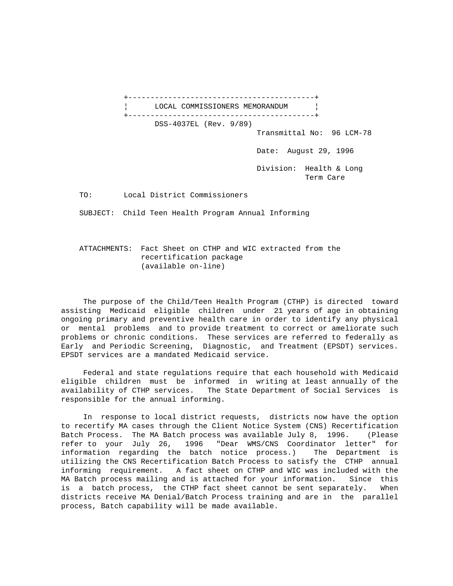+------------------------------------------+ LOCAL COMMISSIONERS MEMORANDUM +------------------------------------------+ DSS-4037EL (Rev. 9/89) Transmittal No: 96 LCM-78 Date: August 29, 1996 Division: Health & Long Term Care TO: Local District Commissioners SUBJECT: Child Teen Health Program Annual Informing

 ATTACHMENTS: Fact Sheet on CTHP and WIC extracted from the recertification package (available on-line)

 The purpose of the Child/Teen Health Program (CTHP) is directed toward assisting Medicaid eligible children under 21 years of age in obtaining ongoing primary and preventive health care in order to identify any physical or mental problems and to provide treatment to correct or ameliorate such problems or chronic conditions. These services are referred to federally as Early and Periodic Screening, Diagnostic, and Treatment (EPSDT) services. EPSDT services are a mandated Medicaid service.

 Federal and state regulations require that each household with Medicaid eligible children must be informed in writing at least annually of the availability of CTHP services. The State Department of Social Services is responsible for the annual informing.

 In response to local district requests, districts now have the option to recertify MA cases through the Client Notice System (CNS) Recertification Batch Process. The MA Batch process was available July 8, 1996. (Please refer to your July 26, 1996 "Dear WMS/CNS Coordinator letter" for information regarding the batch notice process.) The Department is utilizing the CNS Recertification Batch Process to satisfy the CTHP annual informing requirement. A fact sheet on CTHP and WIC was included with the MA Batch process mailing and is attached for your information. Since this is a batch process, the CTHP fact sheet cannot be sent separately. When districts receive MA Denial/Batch Process training and are in the parallel process, Batch capability will be made available.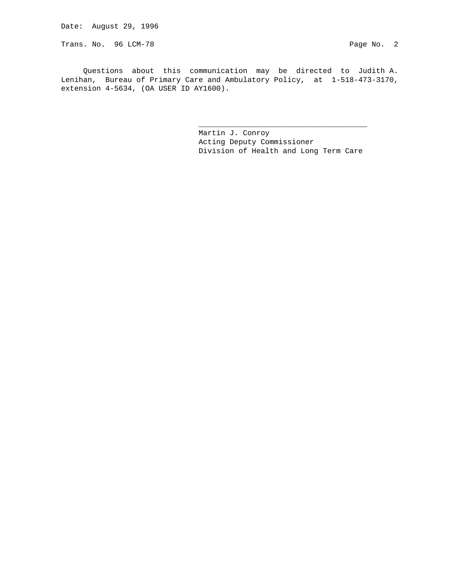Date: August 29, 1996

Trans. No. 96 LCM-78 Page No. 2

 Questions about this communication may be directed to Judith A. Lenihan, Bureau of Primary Care and Ambulatory Policy, at 1-518-473-3170, extension 4-5634, (OA USER ID AY1600).

\_\_\_\_\_\_\_\_\_\_\_\_\_\_\_\_\_\_\_\_\_\_\_\_\_\_\_\_\_\_\_\_\_\_\_\_\_\_

 Martin J. Conroy Acting Deputy Commissioner Division of Health and Long Term Care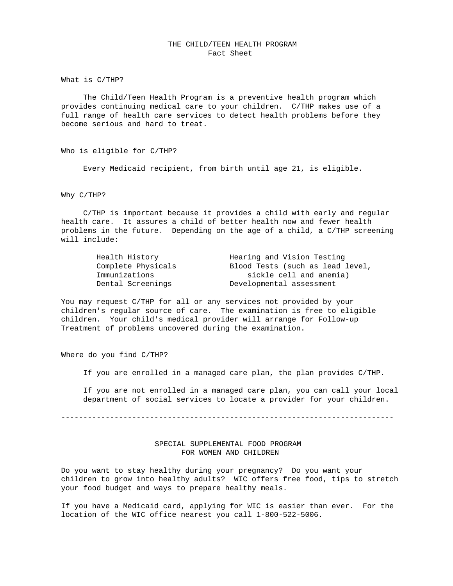## THE CHILD/TEEN HEALTH PROGRAM Fact Sheet

What is C/THP?

 The Child/Teen Health Program is a preventive health program which provides continuing medical care to your children. C/THP makes use of a full range of health care services to detect health problems before they become serious and hard to treat.

Who is eligible for C/THP?

Every Medicaid recipient, from birth until age 21, is eligible.

Why C/THP?

 C/THP is important because it provides a child with early and regular health care. It assures a child of better health now and fewer health problems in the future. Depending on the age of a child, a C/THP screening will include:

| Health History     | Hearing and Vision Testing       |
|--------------------|----------------------------------|
| Complete Physicals | Blood Tests (such as lead level, |
| Immunizations      | sickle cell and anemia)          |
| Dental Screenings  | Developmental assessment         |

You may request C/THP for all or any services not provided by your children's regular source of care. The examination is free to eligible children. Your child's medical provider will arrange for Follow-up Treatment of problems uncovered during the examination.

Where do you find C/THP?

If you are enrolled in a managed care plan, the plan provides C/THP.

 If you are not enrolled in a managed care plan, you can call your local department of social services to locate a provider for your children.

---------------------------------------------------------------------------

## SPECIAL SUPPLEMENTAL FOOD PROGRAM FOR WOMEN AND CHILDREN

Do you want to stay healthy during your pregnancy? Do you want your children to grow into healthy adults? WIC offers free food, tips to stretch your food budget and ways to prepare healthy meals.

If you have a Medicaid card, applying for WIC is easier than ever. For the location of the WIC office nearest you call 1-800-522-5006.